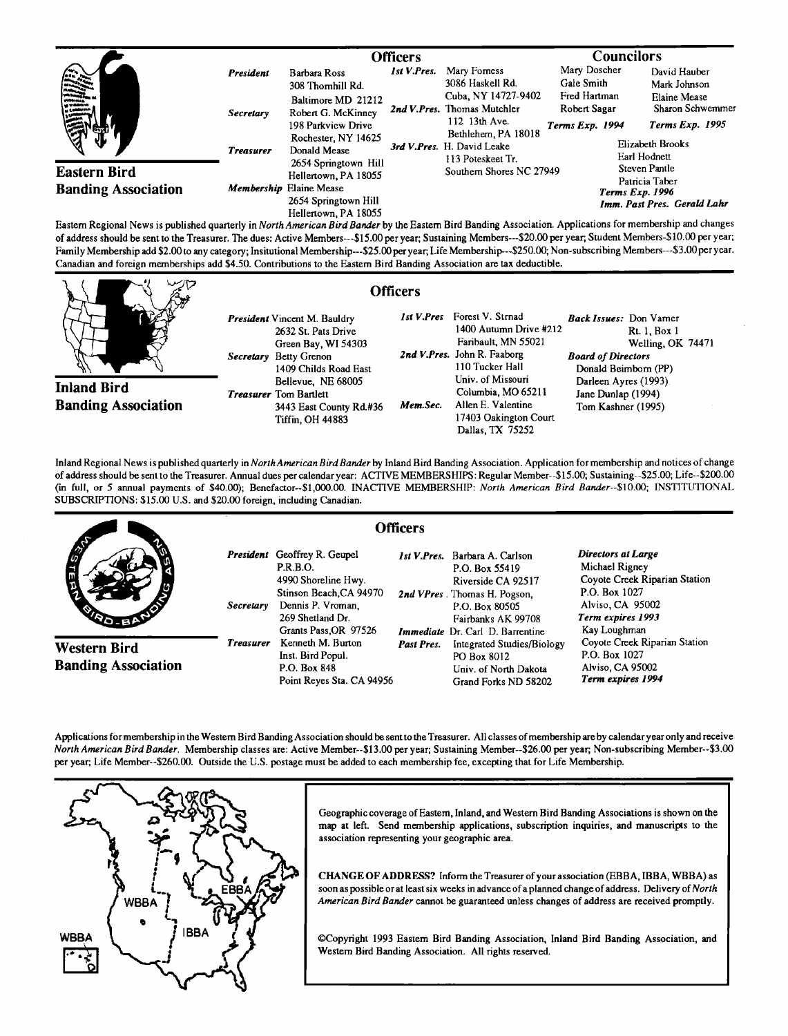|                                                                                                                                                                                                                                                                                                                                     |                                            | <b>Officers</b>                                                                                                                                  |             |                                                                                                                                                                                   | <b>Councilors</b>                                                                 |                                                                                                                                       |  |
|-------------------------------------------------------------------------------------------------------------------------------------------------------------------------------------------------------------------------------------------------------------------------------------------------------------------------------------|--------------------------------------------|--------------------------------------------------------------------------------------------------------------------------------------------------|-------------|-----------------------------------------------------------------------------------------------------------------------------------------------------------------------------------|-----------------------------------------------------------------------------------|---------------------------------------------------------------------------------------------------------------------------------------|--|
| 徽<br>$\begin{bmatrix} 1 & 0 & 0 & 0 \\ 0 & 0 & 0 & 0 \\ 0 & 0 & 0 & 0 \\ 0 & 0 & 0 & 0 \\ 0 & 0 & 0 & 0 \\ 0 & 0 & 0 & 0 \\ 0 & 0 & 0 & 0 \\ 0 & 0 & 0 & 0 \\ 0 & 0 & 0 & 0 \\ 0 & 0 & 0 & 0 \\ 0 & 0 & 0 & 0 \\ 0 & 0 & 0 & 0 \\ 0 & 0 & 0 & 0 & 0 \\ 0 & 0 & 0 & 0 & 0 \\ 0 & 0 & 0 & 0 & 0 \\ 0 & 0 & 0 & 0 & 0 \\ 0 & 0 & 0 & $ | President<br>Secretary<br><b>Treasurer</b> | <b>Barbara Ross</b><br>308 Thomhill Rd.<br>Baltimore MD 21212<br>Robert G. McKinney<br>198 Parkview Drive<br>Rochester, NY 14625<br>Donald Mease | Ist V.Pres. | Mary Forness<br>3086 Haskell Rd.<br>Cuba, NY 14727-9402<br>2nd V.Pres. Thomas Mutchler<br>112 13th Ave.<br>Bethlehem, PA 18018<br>3rd V.Pres. H. David Leake<br>113 Poteskeet Tr. | Mary Doscher<br>Gale Smith<br>Fred Hartman<br>Robert Sagar<br>Terms Exp. 1994     | David Hauber<br>Mark Johnson<br><b>Elaine Mease</b><br>Sharon Schwemmer<br><b>Terms Exp. 1995</b><br>Elizabeth Brooks<br>Earl Hodnett |  |
| <b>Eastern Bird</b><br><b>Banding Association</b>                                                                                                                                                                                                                                                                                   |                                            | 2654 Springtown Hill<br>Hellertown, PA 18055<br>Membership Elaine Mease<br>2654 Springtown Hill<br>Hellertown, PA 18055                          |             | Southern Shores NC 27949                                                                                                                                                          | Steven Pantle<br>Patricia Taber<br>Terms Exp. 1996<br>Imm. Past Pres. Gerald Lahr |                                                                                                                                       |  |

**Eastern Regional News is published quarterly inNorth American Bird Bander by the Eastern Bird Banding Association. Applications formembership and changes**  of address should be sent to the Treasurer. The dues: Active Members---\$15.00 per year; Sustaining Members---\$20.00 per year; Student Members-\$10.00 per year; **Family Membership add \$2.00 to any category; Insitutional Membership---S25.00 per year; Life Membership-- -\$250.00; Non-subscribing Members---\$3.00per year. Canadian and foreign memberships add \$4.50. Contributions tothe Eastern Bird Banding Association are tax deductible.** 

|                                                  |                                                                                                                                      | <b>Officers</b>                                                                                                                                                                                                                                                      |  |
|--------------------------------------------------|--------------------------------------------------------------------------------------------------------------------------------------|----------------------------------------------------------------------------------------------------------------------------------------------------------------------------------------------------------------------------------------------------------------------|--|
|                                                  | <b>President</b> Vincent M. Bauldry<br>2632 St. Pats Drive<br>Green Bay, WI 54303<br>Secretary Betty Grenon<br>1409 Childs Road East | Forest V. Strnad<br>1st V.Pres<br><b>Back Issues:</b> Don Varner<br>1400 Autumn Drive #212<br><b>Rt. 1, Box 1</b><br>Faribault, MN 55021<br>Welling, OK 74471<br>2nd V.Pres. John R. Faaborg<br><b>Board of Directors</b><br>110 Tucker Hall<br>Donald Beimborn (PP) |  |
| <b>Inland Bird</b><br><b>Banding Association</b> | Bellevue, NE 68005<br><b>Treasurer</b> Tom Bartlett<br>3443 East County Rd.#36<br><b>Tiffin. OH 44883</b>                            | Univ. of Missouri<br>Darleen Ayres (1993).<br>Columbia, MO 65211<br>Jane Dunlap (1994)<br>Allen E. Valentine<br>Mem.Sec.<br>Tom Kashner (1995)<br>17403 Oakington Court<br>Dallas, TX 75252                                                                          |  |

**Inland Regional News is published quarterly in North American Bird Bander by Inland Bird Banding Association. Application for membership and notices of change of address should be sent to the Treasurer. Annual dues per calendar year: ACTIVE MEMBERSHIPS: Regular Member--\$15.00; Sustaining--S25.00; Life--S200.00 (in full, or 5 annual payments of \$40.00); Benefactor--S1,000.00. INACTIVE MEMBERSHIP: North American Bird Bander--S10.00; INSTITUTIONAL SUBSCRIPTIONS: \$15.00 U.S. and \$20.00 foreign, including Canadian.** 

|                                            | <b>Officers</b>  |                                                                                                                                                                            |            |                                                                                                                                                                                                  |                                                                                                                                                 |
|--------------------------------------------|------------------|----------------------------------------------------------------------------------------------------------------------------------------------------------------------------|------------|--------------------------------------------------------------------------------------------------------------------------------------------------------------------------------------------------|-------------------------------------------------------------------------------------------------------------------------------------------------|
|                                            | Secretary        | <b>President</b> Geoffrey R. Geupel<br><b>P.R.B.O.</b><br>4990 Shoreline Hwy.<br>Stinson Beach, CA 94970<br>Dennis P. Vroman.<br>269 Shetland Dr.<br>Grants Pass, OR 97526 |            | <i>Ist V.Pres.</i> Barbara A. Carlson<br>P.O. Box 55419<br>Riverside CA 92517<br>2nd VPres. Thomas H. Pogson,<br>P.O. Box 80505<br>Fairbanks AK 99708<br><b>Immediate</b> Dr. Carl D. Barrentine | Directors at Large<br>Michael Rigney<br>Coyote Creek Riparian Station<br>P.O. Box 1027<br>Alviso, CA 95002<br>Term expires 1993<br>Kay Loughman |
| Western Bird<br><b>Banding Association</b> | <b>Treasurer</b> | Kenneth M. Burton<br>Inst. Bird Popul.<br>P.O. Box 848<br>Point Reyes Sta. CA 94956                                                                                        | Past Pres. | <b>Integrated Studies/Biology</b><br>PO Box 8012<br>Univ. of North Dakota<br>Grand Forks ND 58202                                                                                                | Coyote Creek Riparian Station<br>P.O. Box 1027<br>Alviso, CA 95002<br>Term expires 1994                                                         |

**Applications for membership in the Western Bird Banding Association should be sento the Treasurer. All classes of membership areby calendar year only and receive North American Bird Bander. Membership classes are: Active Member--S13.00 per year; Sustaining Member--S26.00 per year; Non-subscribing Member--S3.00 per year; Life Member--S260.00. Outside the U.S. postage must be added to each membership fee, excepting that for Life Membership.** 



**Geographic coverage of Eastern, Inland, and Western Bird Banding Associations is shown on the map at left. Send membership applications, subscription inquiries, and manuscripts to the association representing your geographic area.** 

**CHANGE OF ADDRESS? Inform the Treasurer of your association (EBBA, IBBA, WBBA) as**  soon as possible or at least six weeks in advance of a planned change of address. Delivery of North **American Bird Bander cannot be guaranteed unless changes of address are received promptly.** 

**¸Copyright 1993 Eastern Bird Banding Association, Inland Bird Banding Association, and Western Bird Banding Association. All rights reserved.**